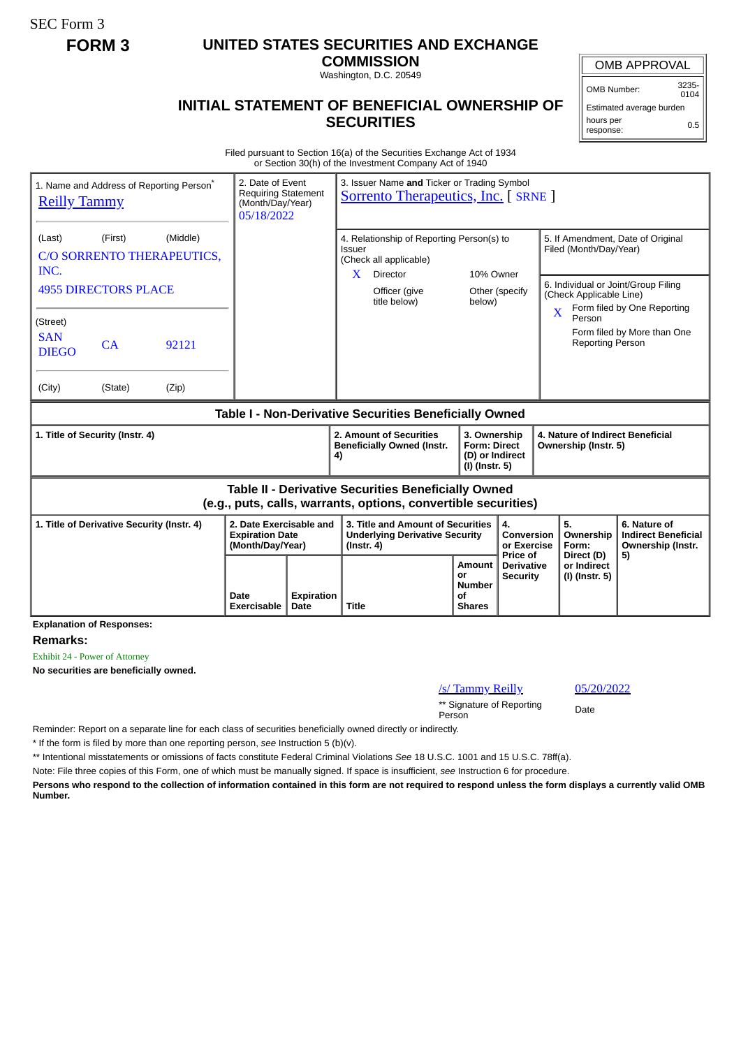## **FORM 3 UNITED STATES SECURITIES AND EXCHANGE**

**COMMISSION** Washington, D.C. 20549

## **INITIAL STATEMENT OF BENEFICIAL OWNERSHIP OF SECURITIES**

OMB APPROVAL

OMB Number: 3235-  $0104$ 

Estimated average burden hours per response: 0.5

Filed pursuant to Section 16(a) of the Securities Exchange Act of 1934 or Section 30(h) of the Investment Company Act of 1940

| 1. Name and Address of Reporting Person*<br><b>Reilly Tammy</b>                                                       | 2. Date of Event<br><b>Requiring Statement</b><br>(Month/Day/Year)<br>05/18/2022 |                           | 3. Issuer Name and Ticker or Trading Symbol<br><b>Sorrento Therapeutics, Inc. [ SRNE ]</b>                             |                                                                          |                                                  |                                                                                               |                                                                 |
|-----------------------------------------------------------------------------------------------------------------------|----------------------------------------------------------------------------------|---------------------------|------------------------------------------------------------------------------------------------------------------------|--------------------------------------------------------------------------|--------------------------------------------------|-----------------------------------------------------------------------------------------------|-----------------------------------------------------------------|
| (Middle)<br>(Last)<br>(First)<br>C/O SORRENTO THERAPEUTICS,<br>INC.                                                   |                                                                                  |                           | 4. Relationship of Reporting Person(s) to<br>Issuer<br>(Check all applicable)<br>Director<br>10% Owner<br>$\mathbf{X}$ |                                                                          |                                                  | 5. If Amendment, Date of Original<br>Filed (Month/Day/Year)                                   |                                                                 |
| <b>4955 DIRECTORS PLACE</b>                                                                                           |                                                                                  |                           | Officer (give<br>title below)                                                                                          | below)                                                                   | Other (specify                                   | 6. Individual or Joint/Group Filing<br>(Check Applicable Line)<br>Form filed by One Reporting |                                                                 |
| (Street)<br><b>SAN</b><br>CA<br>92121<br><b>DIEGO</b>                                                                 |                                                                                  |                           |                                                                                                                        |                                                                          |                                                  | $\mathbf X$<br>Person<br><b>Reporting Person</b>                                              | Form filed by More than One                                     |
| (Zip)<br>(City)<br>(State)                                                                                            |                                                                                  |                           |                                                                                                                        |                                                                          |                                                  |                                                                                               |                                                                 |
| Table I - Non-Derivative Securities Beneficially Owned                                                                |                                                                                  |                           |                                                                                                                        |                                                                          |                                                  |                                                                                               |                                                                 |
| 1. Title of Security (Instr. 4)                                                                                       |                                                                                  |                           | 2. Amount of Securities<br><b>Beneficially Owned (Instr.</b><br>4)                                                     | 3. Ownership<br><b>Form: Direct</b><br>(D) or Indirect<br>(I) (Instr. 5) |                                                  | 4. Nature of Indirect Beneficial<br>Ownership (Instr. 5)                                      |                                                                 |
| Table II - Derivative Securities Beneficially Owned<br>(e.g., puts, calls, warrants, options, convertible securities) |                                                                                  |                           |                                                                                                                        |                                                                          |                                                  |                                                                                               |                                                                 |
| 2. Date Exercisable and<br>1. Title of Derivative Security (Instr. 4)<br><b>Expiration Date</b><br>(Month/Day/Year)   |                                                                                  |                           | 3. Title and Amount of Securities<br><b>Underlying Derivative Security</b><br>$($ lnstr. 4 $)$                         |                                                                          | 4.<br>Conversion<br>or Exercise                  | 5.<br>Ownership<br>Form:                                                                      | 6. Nature of<br><b>Indirect Beneficial</b><br>Ownership (Instr. |
|                                                                                                                       | Date<br>Exercisable                                                              | <b>Expiration</b><br>Date | <b>Title</b>                                                                                                           | Amount<br>or<br><b>Number</b><br>οf<br><b>Shares</b>                     | Price of<br><b>Derivative</b><br><b>Security</b> | Direct (D)<br>or Indirect<br>(I) (Instr. 5)                                                   | 5)                                                              |

**Remarks:**

Exhibit 24 - Power of Attorney

**No securities are beneficially owned.**

/s/ Tammy Reilly 05/20/2022

\*\* Signature of Reporting Person Date

Reminder: Report on a separate line for each class of securities beneficially owned directly or indirectly.

\* If the form is filed by more than one reporting person, *see* Instruction 5 (b)(v).

\*\* Intentional misstatements or omissions of facts constitute Federal Criminal Violations *See* 18 U.S.C. 1001 and 15 U.S.C. 78ff(a).

Note: File three copies of this Form, one of which must be manually signed. If space is insufficient, *see* Instruction 6 for procedure.

**Persons who respond to the collection of information contained in this form are not required to respond unless the form displays a currently valid OMB Number.**

SEC Form 3